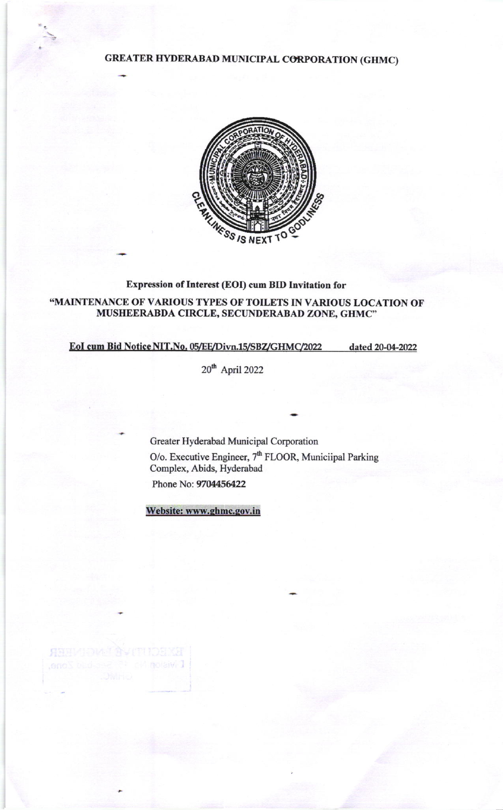**GREATER HYDERABAD MUNICIPAL CORPORATION (GHMC)** 



# Expression of Interest (EOI) cum BID Invitation for

# "MAINTENANCE OF VARIOUS TYPES OF TOILETS IN VARIOUS LOCATION OF MUSHEERABDA CIRCLE, SECUNDERABAD ZONE, GHMC"

## EoI cum Bid Notice NIT.No. 05/EE/Divn.15/SBZ/GHMC/2022

dated 20-04-2022

 $20^{th}$  April 2022

Greater Hyderabad Municipal Corporation O/o. Executive Engineer,  $7<sup>th</sup>$  FLOOR, Municiipal Parking Complex, Abids, Hyderabad Phone No: 9704456422

Website: www.ghmc.gov.in

**ASSI**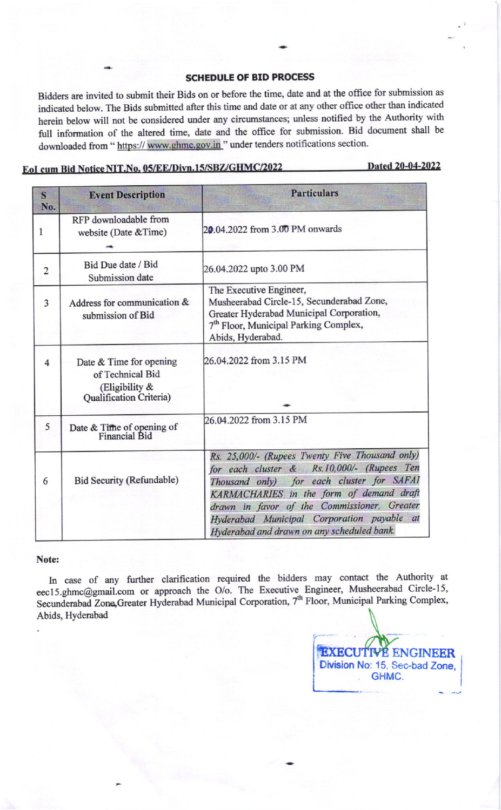### SCHEDULE OF BID PROCESS

Bidders are invited to submit their Bids on or before the time, date and at the oflice for submission as indicated below. The Bids submitted after this time and date or at any other office other than indicated herein below will not be considered under any circumstances; unless notified by the Authority with full information of the altered time, date and the office for submission. Bid document shall be downloaded from " https:// www.ghmc.gov.in " under tenders notifications section.

# EoI cum Bid Notice NIT.No. 05/EE/Divn.15/SBZ/GHMC/2022

Dated 20-04-2022

| S<br>No.       | <b>Event Description</b>                                                                    | <b>Particulars</b>                                                                                                                                                                                                                                                                                                                |
|----------------|---------------------------------------------------------------------------------------------|-----------------------------------------------------------------------------------------------------------------------------------------------------------------------------------------------------------------------------------------------------------------------------------------------------------------------------------|
| 1              | RFP downloadable from<br>website (Date & Time)                                              | 20.04.2022 from 3.00 PM onwards                                                                                                                                                                                                                                                                                                   |
| $\overline{2}$ | Bid Due date / Bid<br>Submission date                                                       | 26.04.2022 upto 3.00 PM                                                                                                                                                                                                                                                                                                           |
| 3              | Address for communication &<br>submission of Bid                                            | The Executive Engineer,<br>Musheerabad Circle-15, Secunderabad Zone,<br>Greater Hyderabad Municipal Corporation,<br>7 <sup>th</sup> Floor, Municipal Parking Complex,<br>Abids, Hyderabad.                                                                                                                                        |
| $\overline{4}$ | Date & Time for opening<br>of Technical Bid<br>(Eligibility $\&$<br>Qualification Criteria) | 26.04.2022 from 3.15 PM                                                                                                                                                                                                                                                                                                           |
| 5              | Date & Time of opening of<br>Financial Bid                                                  | 26.04.2022 from 3.15 PM                                                                                                                                                                                                                                                                                                           |
| 6              | Bid Security (Refundable)                                                                   | Rs. 25,000/- (Rupees Twenty Five Thousand only)<br>for each cluster & Rs.10,000/- (Rupees Ten<br>Thousand only) for each cluster for SAFAI<br>KARMACHARIES in the form of demand draft<br>drawn in favor of the Commissioner, Greater<br>Hyderabad Municipal Corporation payable at<br>Hyderabad and drawn on any scheduled bank. |

#### Note:

In case of any further clarification required the bidders may contact the Authority at eec15.ghmc@gmail.com or approach the O/o. The Executive Engineer, Musheerabad Circle-15, Secunderabad Zone, Greater Hyderabad Municipal Corporation, 7<sup>th</sup> Floor, Municipal Parking Complex, Abids, Hyderabad

ENGINEER Division No: 15. Sec-bad Zone, . GHMC.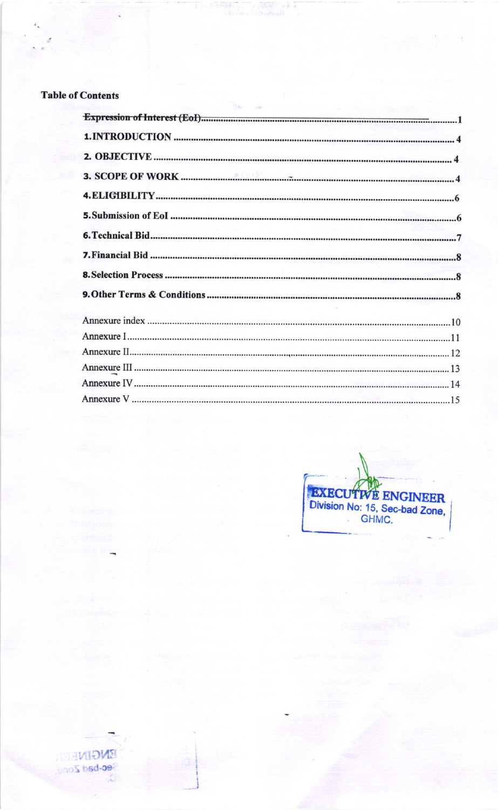# **Table of Contents**

 $-1 - 2$